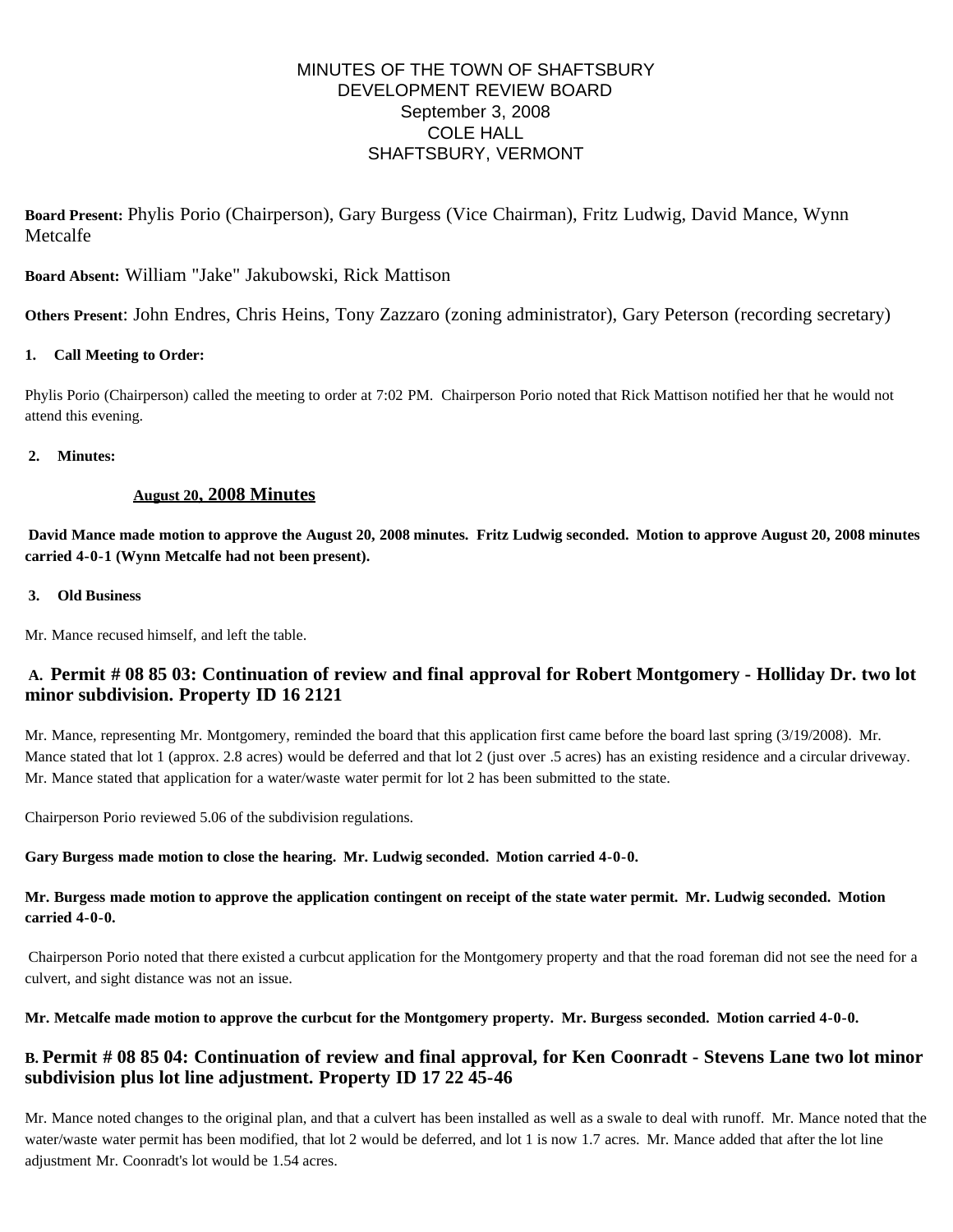# MINUTES OF THE TOWN OF SHAFTSBURY DEVELOPMENT REVIEW BOARD September 3, 2008 COLE HALL SHAFTSBURY, VERMONT

**Board Present:** Phylis Porio (Chairperson), Gary Burgess (Vice Chairman), Fritz Ludwig, David Mance, Wynn Metcalfe

**Board Absent:** William "Jake" Jakubowski, Rick Mattison

**Others Present**: John Endres, Chris Heins, Tony Zazzaro (zoning administrator), Gary Peterson (recording secretary)

# **1. Call Meeting to Order:**

Phylis Porio (Chairperson) called the meeting to order at 7:02 PM. Chairperson Porio noted that Rick Mattison notified her that he would not attend this evening.

## **2. Minutes:**

# **August 20, 2008 Minutes**

**David Mance made motion to approve the August 20, 2008 minutes. Fritz Ludwig seconded. Motion to approve August 20, 2008 minutes carried 4-0-1 (Wynn Metcalfe had not been present).**

## **3. Old Business**

Mr. Mance recused himself, and left the table.

# **A. Permit # 08 85 03: Continuation of review and final approval for Robert Montgomery - Holliday Dr. two lot minor subdivision. Property ID 16 2121**

Mr. Mance, representing Mr. Montgomery, reminded the board that this application first came before the board last spring (3/19/2008). Mr. Mance stated that lot 1 (approx. 2.8 acres) would be deferred and that lot 2 (just over .5 acres) has an existing residence and a circular driveway. Mr. Mance stated that application for a water/waste water permit for lot 2 has been submitted to the state.

Chairperson Porio reviewed 5.06 of the subdivision regulations.

## **Gary Burgess made motion to close the hearing. Mr. Ludwig seconded. Motion carried 4-0-0.**

# **Mr. Burgess made motion to approve the application contingent on receipt of the state water permit. Mr. Ludwig seconded. Motion carried 4-0-0.**

Chairperson Porio noted that there existed a curbcut application for the Montgomery property and that the road foreman did not see the need for a culvert, and sight distance was not an issue.

**Mr. Metcalfe made motion to approve the curbcut for the Montgomery property. Mr. Burgess seconded. Motion carried 4-0-0.**

# **B. Permit # 08 85 04: Continuation of review and final approval, for Ken Coonradt - Stevens Lane two lot minor subdivision plus lot line adjustment. Property ID 17 22 45-46**

Mr. Mance noted changes to the original plan, and that a culvert has been installed as well as a swale to deal with runoff. Mr. Mance noted that the water/waste water permit has been modified, that lot 2 would be deferred, and lot 1 is now 1.7 acres. Mr. Mance added that after the lot line adjustment Mr. Coonradt's lot would be 1.54 acres.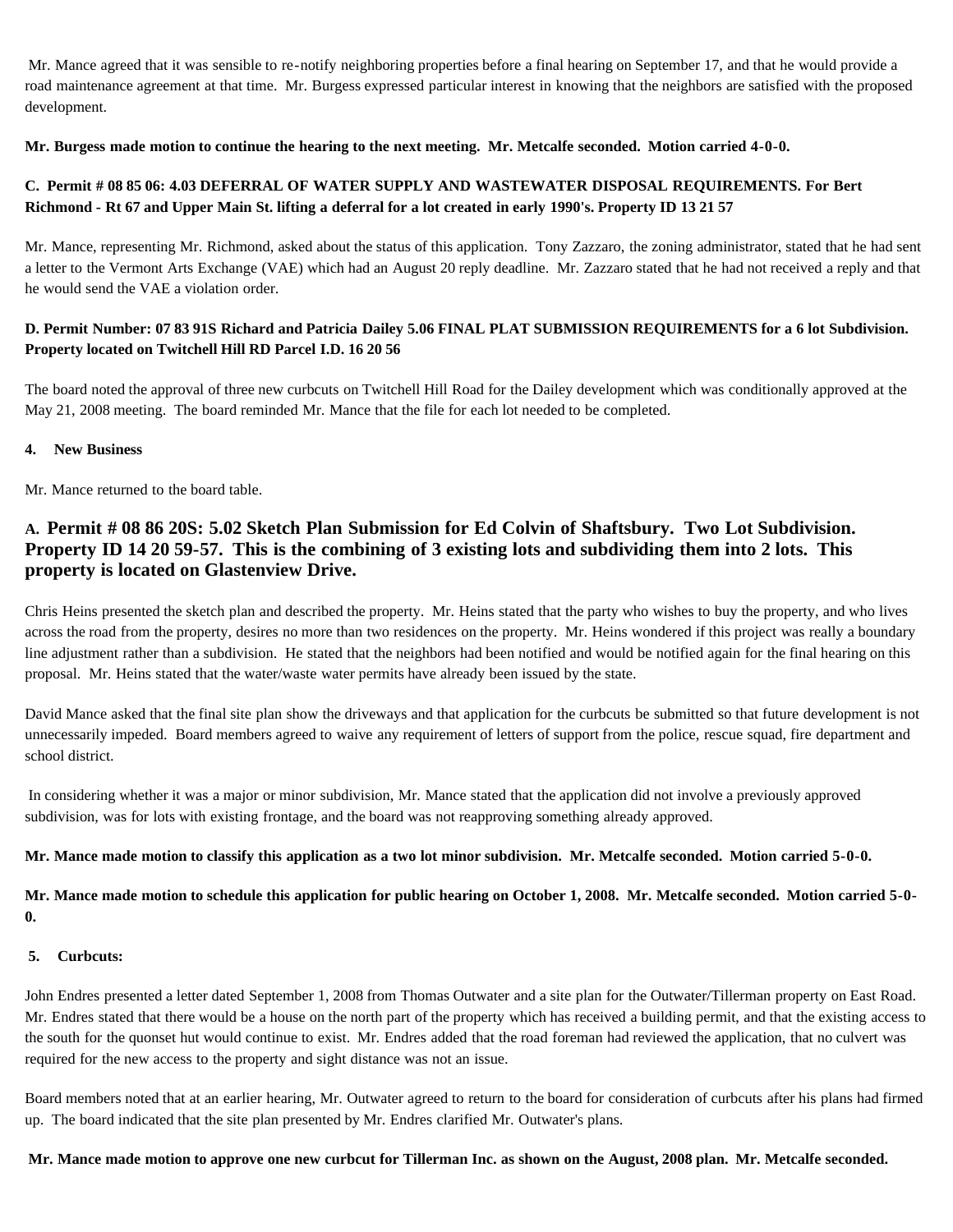Mr. Mance agreed that it was sensible to re-notify neighboring properties before a final hearing on September 17, and that he would provide a road maintenance agreement at that time. Mr. Burgess expressed particular interest in knowing that the neighbors are satisfied with the proposed development.

## **Mr. Burgess made motion to continue the hearing to the next meeting. Mr. Metcalfe seconded. Motion carried 4-0-0.**

# **C. Permit # 08 85 06: 4.03 DEFERRAL OF WATER SUPPLY AND WASTEWATER DISPOSAL REQUIREMENTS. For Bert Richmond - Rt 67 and Upper Main St. lifting a deferral for a lot created in early 1990's. Property ID 13 21 57**

Mr. Mance, representing Mr. Richmond, asked about the status of this application. Tony Zazzaro, the zoning administrator, stated that he had sent a letter to the Vermont Arts Exchange (VAE) which had an August 20 reply deadline. Mr. Zazzaro stated that he had not received a reply and that he would send the VAE a violation order.

# **D. Permit Number: 07 83 91S Richard and Patricia Dailey 5.06 FINAL PLAT SUBMISSION REQUIREMENTS for a 6 lot Subdivision. Property located on Twitchell Hill RD Parcel I.D. 16 20 56**

The board noted the approval of three new curbcuts on Twitchell Hill Road for the Dailey development which was conditionally approved at the May 21, 2008 meeting. The board reminded Mr. Mance that the file for each lot needed to be completed.

## **4. New Business**

Mr. Mance returned to the board table.

# **A. Permit # 08 86 20S: 5.02 Sketch Plan Submission for Ed Colvin of Shaftsbury. Two Lot Subdivision. Property ID 14 20 59-57. This is the combining of 3 existing lots and subdividing them into 2 lots. This property is located on Glastenview Drive.**

Chris Heins presented the sketch plan and described the property. Mr. Heins stated that the party who wishes to buy the property, and who lives across the road from the property, desires no more than two residences on the property. Mr. Heins wondered if this project was really a boundary line adjustment rather than a subdivision. He stated that the neighbors had been notified and would be notified again for the final hearing on this proposal. Mr. Heins stated that the water/waste water permits have already been issued by the state.

David Mance asked that the final site plan show the driveways and that application for the curbcuts be submitted so that future development is not unnecessarily impeded. Board members agreed to waive any requirement of letters of support from the police, rescue squad, fire department and school district.

In considering whether it was a major or minor subdivision, Mr. Mance stated that the application did not involve a previously approved subdivision, was for lots with existing frontage, and the board was not reapproving something already approved.

## **Mr. Mance made motion to classify this application as a two lot minor subdivision. Mr. Metcalfe seconded. Motion carried 5-0-0.**

**Mr. Mance made motion to schedule this application for public hearing on October 1, 2008. Mr. Metcalfe seconded. Motion carried 5-0- 0.**

#### **5. Curbcuts:**

John Endres presented a letter dated September 1, 2008 from Thomas Outwater and a site plan for the Outwater/Tillerman property on East Road. Mr. Endres stated that there would be a house on the north part of the property which has received a building permit, and that the existing access to the south for the quonset hut would continue to exist. Mr. Endres added that the road foreman had reviewed the application, that no culvert was required for the new access to the property and sight distance was not an issue.

Board members noted that at an earlier hearing, Mr. Outwater agreed to return to the board for consideration of curbcuts after his plans had firmed up. The board indicated that the site plan presented by Mr. Endres clarified Mr. Outwater's plans.

#### **Mr. Mance made motion to approve one new curbcut for Tillerman Inc. as shown on the August, 2008 plan. Mr. Metcalfe seconded.**